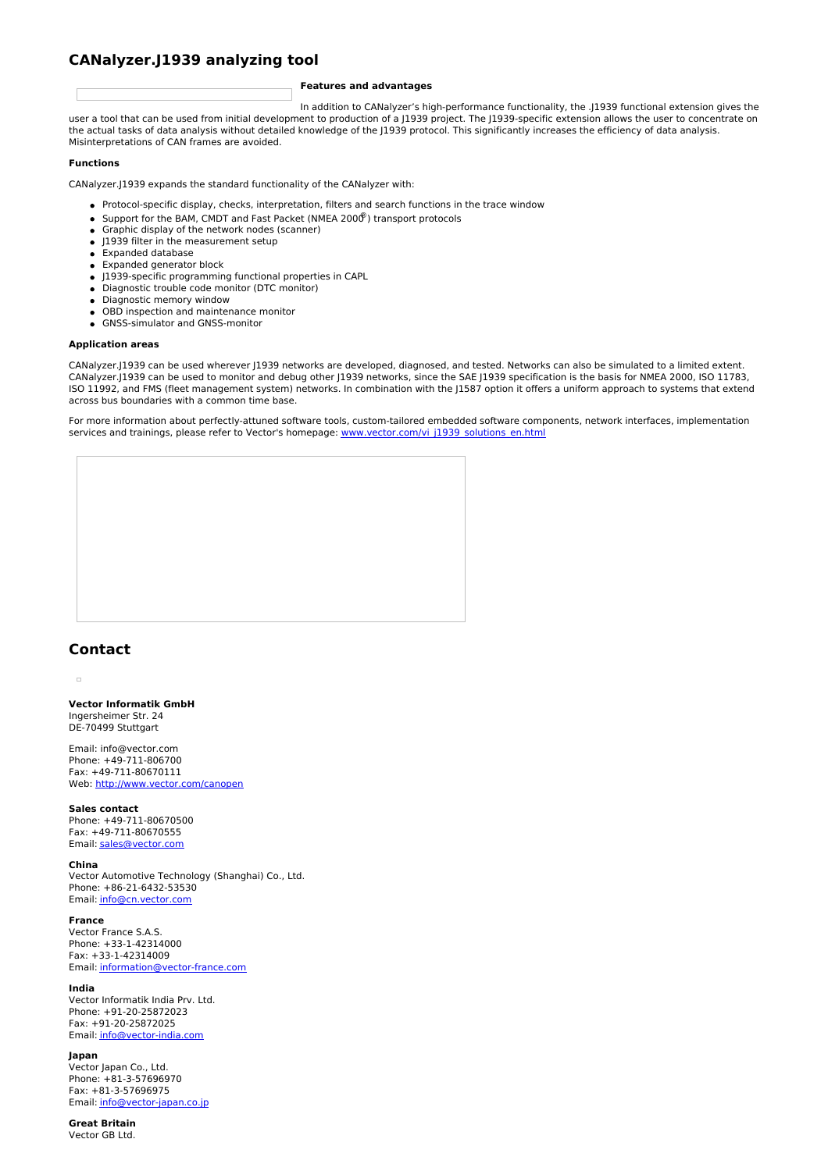# **CANalyzer.J1939 analyzing tool**

### **Features and advantages**

In addition to CANalyzer's high-performance functionality, the .J1939 functional extension gives the user a tool that can be used from initial development to production of a J1939 project. The J1939-specific extension allows the user to concentrate on the actual tasks of data analysis without detailed knowledge of the J1939 protocol. This significantly increases the efficiency of data analysis. Misinterpretations of CAN frames are avoided.

### **Functions**

CANalyzer.J1939 expands the standard functionality of the CANalyzer with:

- Protocol-specific display, checks, interpretation, filters and search functions in the trace window
- Support for the BAM, CMDT and Fast Packet (NMEA 2000®) transport protocols
- Graphic display of the network nodes (scanner)
- J1939 filter in the measurement setup
- Expanded database
- Expanded generator block
- J1939-specific programming functional properties in CAPL
- Diagnostic trouble code monitor (DTC monitor)
- Diagnostic memory window
- OBD inspection and maintenance monitor GNSS-simulator and GNSS-monitor

#### **Application areas**

CANalyzer.J1939 can be used wherever J1939 networks are developed, diagnosed, and tested. Networks can also be simulated to a limited extent. CANalyzer.J1939 can be used to monitor and debug other J1939 networks, since the SAE J1939 specification is the basis for NMEA 2000, ISO 11783, ISO 11992, and FMS (fleet management system) networks. In combination with the J1587 option it offers a uniform approach to systems that extend across bus boundaries with a common time base.

For more information about perfectly-attuned software tools, custom-tailored embedded software components, network interfaces, implementation services and trainings, please refer to Vector's homepage: [www.vector.com/vi\\_j1939\\_solutions\\_en.html](http://www.vector.com/vi_j1939_solutions_en.html)

## **Contact**

 $\overline{a}$ 

**Vector Informatik GmbH** Ingersheimer Str. 24 DE-70499 Stuttgart

Email: info@vector.com Phone: +49-711-806700 Fax: +49-711-80670111 Web: <http://www.vector.com/canopen>

#### **Sales contact**

Phone: +49-711-80670500 Fax: +49-711-80670555 Email: [sales@vector.com](mailto:sales@vector.com)

#### **China**

Vector Automotive Technology (Shanghai) Co., Ltd. Phone: +86-21-6432-53530 Email: [info@cn.vector.com](mailto:info@cn.vector.com)

#### **France**

Vector France S.A.S. Phone: +33-1-42314000 Fax: +33-1-42314009 Email: [information@vector-france.com](mailto:information@vector-france.com)

#### **India**

Vector Informatik India Prv. Ltd. Phone: +91-20-25872023 Fax: +91-20-25872025 Email: [info@vector-india.com](mailto:info@vector-india.com)

### **Japan**

Vector Japan Co., Ltd. Phone: +81-3-57696970 Fax: +81-3-57696975 Email: [info@vector-japan.co.jp](mailto:info@vector-japan.co.jp)

#### **Great Britain** Vector GB Ltd.